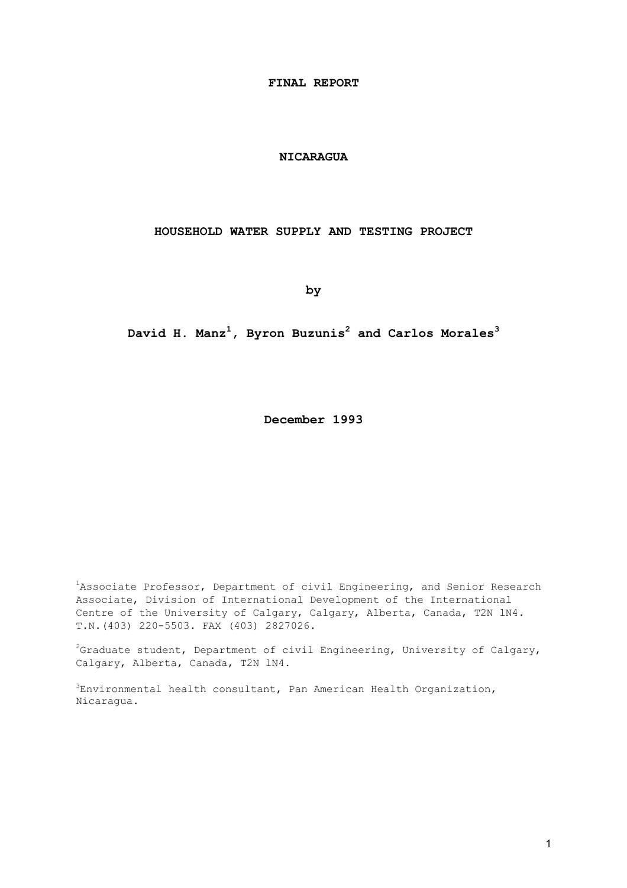**FINAL REPORT** 

#### **NICARAGUA**

#### **HOUSEHOLD WATER SUPPLY AND TESTING PROJECT**

**by** 

#### **David H. Manz<sup>1</sup> , Byron Buzunis<sup>2</sup> and Carlos Morales<sup>3</sup>**

**December 1993** 

<sup>1</sup>Associate Professor, Department of civil Engineering, and Senior Research Associate, Division of International Development of the International Centre of the University of Calgary, Calgary, Alberta, Canada, T2N lN4. T.N.(403) 220-5503. FAX (403) 2827026.

 $^2$ Graduate student, Department of civil Engineering, University of Calgary, Calgary, Alberta, Canada, T2N lN4.

 ${}^{3}$ Environmental health consultant, Pan American Health Organization, Nicaragua.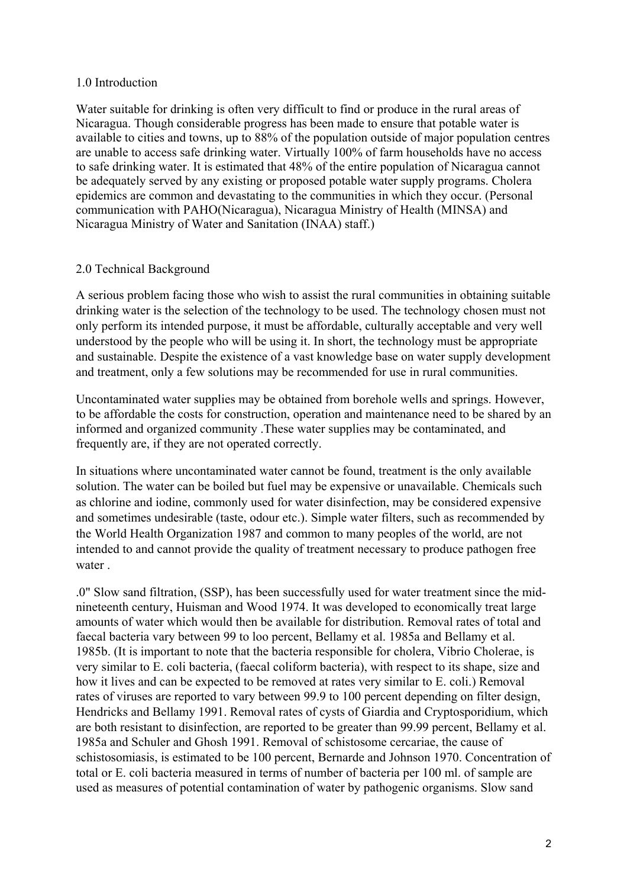#### 1.0 Introduction

Water suitable for drinking is often very difficult to find or produce in the rural areas of Nicaragua. Though considerable progress has been made to ensure that potable water is available to cities and towns, up to 88% of the population outside of major population centres are unable to access safe drinking water. Virtually 100% of farm households have no access to safe drinking water. It is estimated that 48% of the entire population of Nicaragua cannot be adequately served by any existing or proposed potable water supply programs. Cholera epidemics are common and devastating to the communities in which they occur. (Personal communication with PAHO(Nicaragua), Nicaragua Ministry of Health (MINSA) and Nicaragua Ministry of Water and Sanitation (INAA) staff.)

#### 2.0 Technical Background

A serious problem facing those who wish to assist the rural communities in obtaining suitable drinking water is the selection of the technology to be used. The technology chosen must not only perform its intended purpose, it must be affordable, culturally acceptable and very well understood by the people who will be using it. In short, the technology must be appropriate and sustainable. Despite the existence of a vast knowledge base on water supply development and treatment, only a few solutions may be recommended for use in rural communities.

Uncontaminated water supplies may be obtained from borehole wells and springs. However, to be affordable the costs for construction, operation and maintenance need to be shared by an informed and organized community .These water supplies may be contaminated, and frequently are, if they are not operated correctly.

In situations where uncontaminated water cannot be found, treatment is the only available solution. The water can be boiled but fuel may be expensive or unavailable. Chemicals such as chlorine and iodine, commonly used for water disinfection, may be considered expensive and sometimes undesirable (taste, odour etc.). Simple water filters, such as recommended by the World Health Organization 1987 and common to many peoples of the world, are not intended to and cannot provide the quality of treatment necessary to produce pathogen free water .

.0" Slow sand filtration, (SSP), has been successfully used for water treatment since the midnineteenth century, Huisman and Wood 1974. It was developed to economically treat large amounts of water which would then be available for distribution. Removal rates of total and faecal bacteria vary between 99 to loo percent, Bellamy et al. 1985a and Bellamy et al. 1985b. (It is important to note that the bacteria responsible for cholera, Vibrio Cholerae, is very similar to E. coli bacteria, (faecal coliform bacteria), with respect to its shape, size and how it lives and can be expected to be removed at rates very similar to E. coli.) Removal rates of viruses are reported to vary between 99.9 to 100 percent depending on filter design, Hendricks and Bellamy 1991. Removal rates of cysts of Giardia and Cryptosporidium, which are both resistant to disinfection, are reported to be greater than 99.99 percent, Bellamy et al. 1985a and Schuler and Ghosh 1991. Removal of schistosome cercariae, the cause of schistosomiasis, is estimated to be 100 percent, Bernarde and Johnson 1970. Concentration of total or E. coli bacteria measured in terms of number of bacteria per 100 ml. of sample are used as measures of potential contamination of water by pathogenic organisms. Slow sand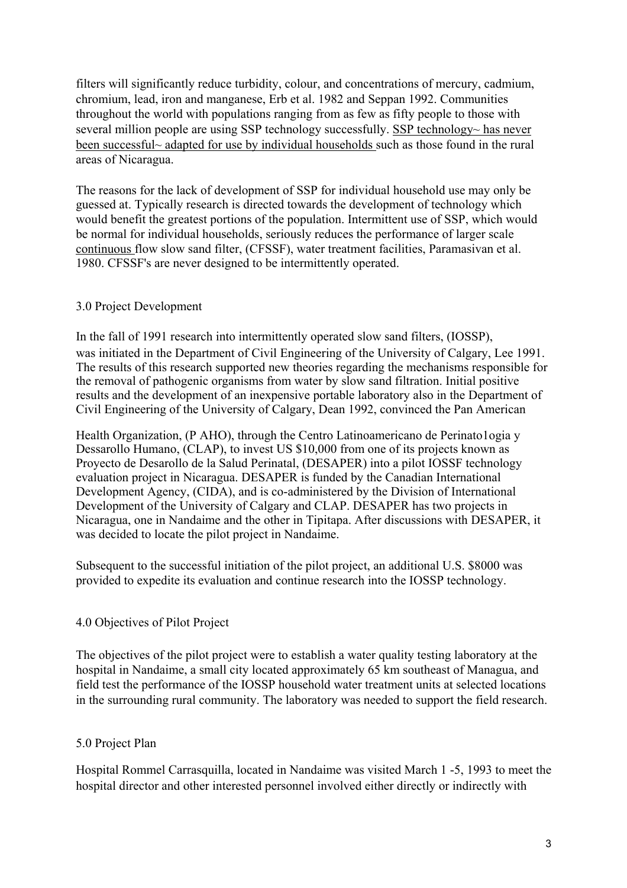filters will significantly reduce turbidity, colour, and concentrations of mercury, cadmium, chromium, lead, iron and manganese, Erb et al. 1982 and Seppan 1992. Communities throughout the world with populations ranging from as few as fifty people to those with several million people are using SSP technology successfully. SSP technology~ has never been successful~ adapted for use by individual households such as those found in the rural areas of Nicaragua.

The reasons for the lack of development of SSP for individual household use may only be guessed at. Typically research is directed towards the development of technology which would benefit the greatest portions of the population. Intermittent use of SSP, which would be normal for individual households, seriously reduces the performance of larger scale continuous flow slow sand filter, (CFSSF), water treatment facilities, Paramasivan et al. 1980. CFSSF's are never designed to be intermittently operated.

## 3.0 Project Development

In the fall of 1991 research into intermittently operated slow sand filters, (IOSSP), was initiated in the Department of Civil Engineering of the University of Calgary, Lee 1991. The results of this research supported new theories regarding the mechanisms responsible for the removal of pathogenic organisms from water by slow sand filtration. Initial positive results and the development of an inexpensive portable laboratory also in the Department of Civil Engineering of the University of Calgary, Dean 1992, convinced the Pan American

Health Organization, (P AHO), through the Centro Latinoamericano de Perinato1ogia y Dessarollo Humano, (CLAP), to invest US \$10,000 from one of its projects known as Proyecto de Desarollo de la Salud Perinatal, (DESAPER) into a pilot IOSSF technology evaluation project in Nicaragua. DESAPER is funded by the Canadian International Development Agency, (CIDA), and is co-administered by the Division of International Development of the University of Calgary and CLAP. DESAPER has two projects in Nicaragua, one in Nandaime and the other in Tipitapa. After discussions with DESAPER, it was decided to locate the pilot project in Nandaime.

Subsequent to the successful initiation of the pilot project, an additional U.S. \$8000 was provided to expedite its evaluation and continue research into the IOSSP technology.

#### 4.0 Objectives of Pilot Project

The objectives of the pilot project were to establish a water quality testing laboratory at the hospital in Nandaime, a small city located approximately 65 km southeast of Managua, and field test the performance of the IOSSP household water treatment units at selected locations in the surrounding rural community. The laboratory was needed to support the field research.

#### 5.0 Project Plan

Hospital Rommel Carrasquilla, located in Nandaime was visited March 1 -5, 1993 to meet the hospital director and other interested personnel involved either directly or indirectly with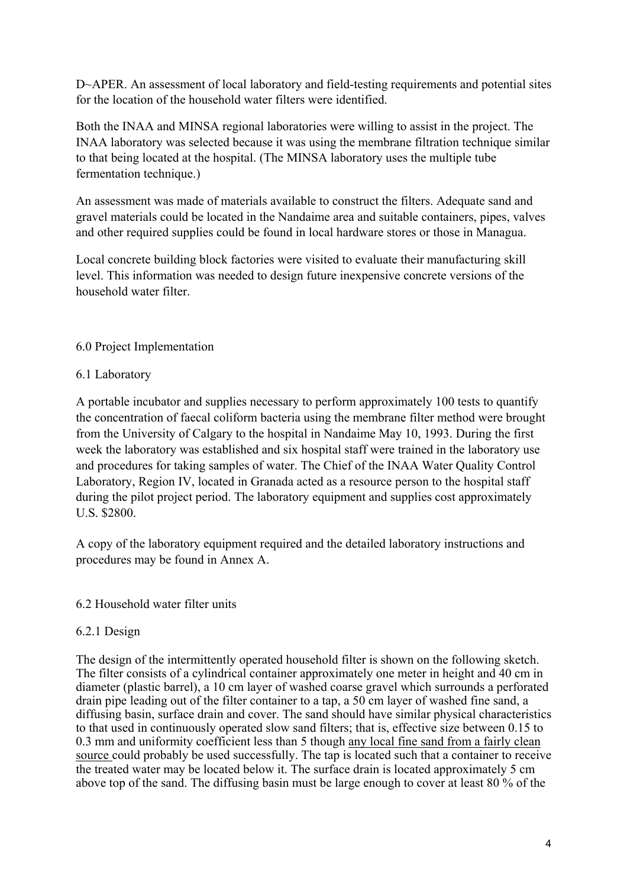D~APER. An assessment of local laboratory and field-testing requirements and potential sites for the location of the household water filters were identified.

Both the INAA and MINSA regional laboratories were willing to assist in the project. The INAA laboratory was selected because it was using the membrane filtration technique similar to that being located at the hospital. (The MINSA laboratory uses the multiple tube fermentation technique.)

An assessment was made of materials available to construct the filters. Adequate sand and gravel materials could be located in the Nandaime area and suitable containers, pipes, valves and other required supplies could be found in local hardware stores or those in Managua.

Local concrete building block factories were visited to evaluate their manufacturing skill level. This information was needed to design future inexpensive concrete versions of the household water filter.

## 6.0 Project Implementation

#### 6.1 Laboratory

A portable incubator and supplies necessary to perform approximately 100 tests to quantify the concentration of faecal coliform bacteria using the membrane filter method were brought from the University of Calgary to the hospital in Nandaime May 10, 1993. During the first week the laboratory was established and six hospital staff were trained in the laboratory use and procedures for taking samples of water. The Chief of the INAA Water Quality Control Laboratory, Region IV, located in Granada acted as a resource person to the hospital staff during the pilot project period. The laboratory equipment and supplies cost approximately U.S. \$2800.

A copy of the laboratory equipment required and the detailed laboratory instructions and procedures may be found in Annex A.

#### 6.2 Household water filter units

#### 6.2.1 Design

The design of the intermittently operated household filter is shown on the following sketch. The filter consists of a cylindrical container approximately one meter in height and 40 cm in diameter (plastic barrel), a 10 cm layer of washed coarse gravel which surrounds a perforated drain pipe leading out of the filter container to a tap, a 50 cm layer of washed fine sand, a diffusing basin, surface drain and cover. The sand should have similar physical characteristics to that used in continuously operated slow sand filters; that is, effective size between 0.15 to 0.3 mm and uniformity coefficient less than 5 though any local fine sand from a fairly clean source could probably be used successfully. The tap is located such that a container to receive the treated water may be located below it. The surface drain is located approximately 5 cm above top of the sand. The diffusing basin must be large enough to cover at least 80 % of the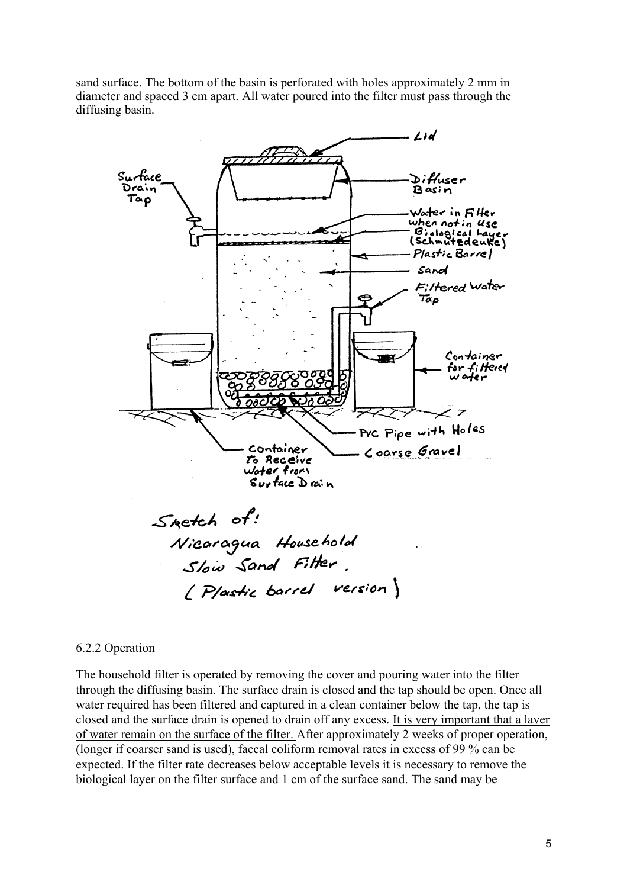sand surface. The bottom of the basin is perforated with holes approximately 2 mm in diameter and spaced 3 cm apart. All water poured into the filter must pass through the diffusing basin.



#### 6.2.2 Operation

The household filter is operated by removing the cover and pouring water into the filter through the diffusing basin. The surface drain is closed and the tap should be open. Once all water required has been filtered and captured in a clean container below the tap, the tap is closed and the surface drain is opened to drain off any excess. It is very important that a layer of water remain on the surface of the filter. After approximately 2 weeks of proper operation, (longer if coarser sand is used), faecal coliform removal rates in excess of 99 % can be expected. If the filter rate decreases below acceptable levels it is necessary to remove the biological layer on the filter surface and 1 cm of the surface sand. The sand may be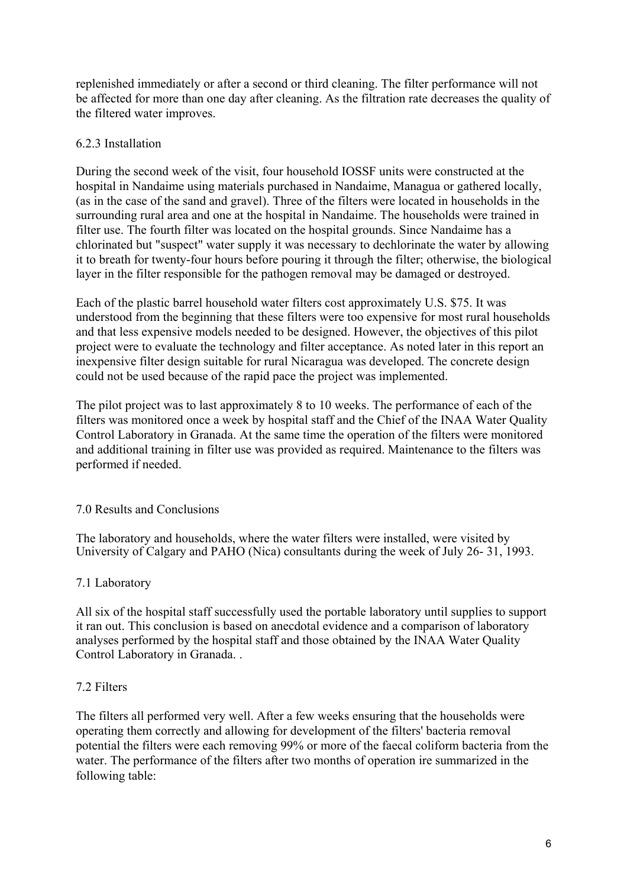replenished immediately or after a second or third cleaning. The filter performance will not be affected for more than one day after cleaning. As the filtration rate decreases the quality of the filtered water improves.

#### 6.2.3 Installation

During the second week of the visit, four household IOSSF units were constructed at the hospital in Nandaime using materials purchased in Nandaime, Managua or gathered locally, (as in the case of the sand and gravel). Three of the filters were located in households in the surrounding rural area and one at the hospital in Nandaime. The households were trained in filter use. The fourth filter was located on the hospital grounds. Since Nandaime has a chlorinated but "suspect" water supply it was necessary to dechlorinate the water by allowing it to breath for twenty-four hours before pouring it through the filter; otherwise, the biological layer in the filter responsible for the pathogen removal may be damaged or destroyed.

Each of the plastic barrel household water filters cost approximately U.S. \$75. It was understood from the beginning that these filters were too expensive for most rural households and that less expensive models needed to be designed. However, the objectives of this pilot project were to evaluate the technology and filter acceptance. As noted later in this report an inexpensive filter design suitable for rural Nicaragua was developed. The concrete design could not be used because of the rapid pace the project was implemented.

The pilot project was to last approximately 8 to 10 weeks. The performance of each of the filters was monitored once a week by hospital staff and the Chief of the INAA Water Quality Control Laboratory in Granada. At the same time the operation of the filters were monitored and additional training in filter use was provided as required. Maintenance to the filters was performed if needed.

#### 7.0 Results and Conclusions

The laboratory and households, where the water filters were installed, were visited by University of Calgary and PAHO (Nica) consultants during the week of July 26- 31, 1993.

#### 7.1 Laboratory

All six of the hospital staff successfully used the portable laboratory until supplies to support it ran out. This conclusion is based on anecdotal evidence and a comparison of laboratory analyses performed by the hospital staff and those obtained by the INAA Water Quality Control Laboratory in Granada. .

#### 7.2 Filters

The filters all performed very well. After a few weeks ensuring that the households were operating them correctly and allowing for development of the filters' bacteria removal potential the filters were each removing 99% or more of the faecal coliform bacteria from the water. The performance of the filters after two months of operation ire summarized in the following table: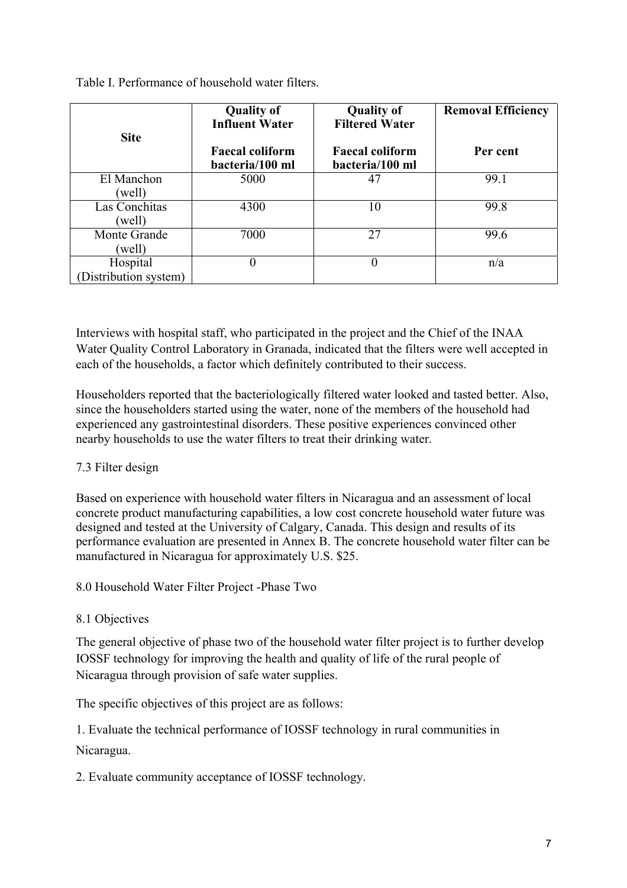Table I. Performance of household water filters.

| <b>Site</b>                      | <b>Quality of</b><br><b>Influent Water</b><br><b>Faecal coliform</b><br>bacteria/100 ml | <b>Quality of</b><br><b>Filtered Water</b><br><b>Faecal coliform</b><br>bacteria/100 ml | <b>Removal Efficiency</b><br>Per cent |
|----------------------------------|-----------------------------------------------------------------------------------------|-----------------------------------------------------------------------------------------|---------------------------------------|
| El Manchon<br>(well)             | 5000                                                                                    | 47                                                                                      | 99.1                                  |
| Las Conchitas<br>(well)          | 4300                                                                                    | 10                                                                                      | 99.8                                  |
| Monte Grande<br>(well)           | 7000                                                                                    | 27                                                                                      | 99.6                                  |
| Hospital<br>Distribution system) | 0                                                                                       | O                                                                                       | n/a                                   |

Interviews with hospital staff, who participated in the project and the Chief of the INAA Water Quality Control Laboratory in Granada, indicated that the filters were well accepted in each of the households, a factor which definitely contributed to their success.

Householders reported that the bacteriologically filtered water looked and tasted better. Also, since the householders started using the water, none of the members of the household had experienced any gastrointestinal disorders. These positive experiences convinced other nearby households to use the water filters to treat their drinking water.

# 7.3 Filter design

Based on experience with household water filters in Nicaragua and an assessment of local concrete product manufacturing capabilities, a low cost concrete household water future was designed and tested at the University of Calgary, Canada. This design and results of its performance evaluation are presented in Annex B. The concrete household water filter can be manufactured in Nicaragua for approximately U.S. \$25.

8.0 Household Water Filter Project -Phase Two

# 8.1 Objectives

The general objective of phase two of the household water filter project is to further develop IOSSF technology for improving the health and quality of life of the rural people of Nicaragua through provision of safe water supplies.

The specific objectives of this project are as follows:

1. Evaluate the technical performance of IOSSF technology in rural communities in Nicaragua.

2. Evaluate community acceptance of IOSSF technology.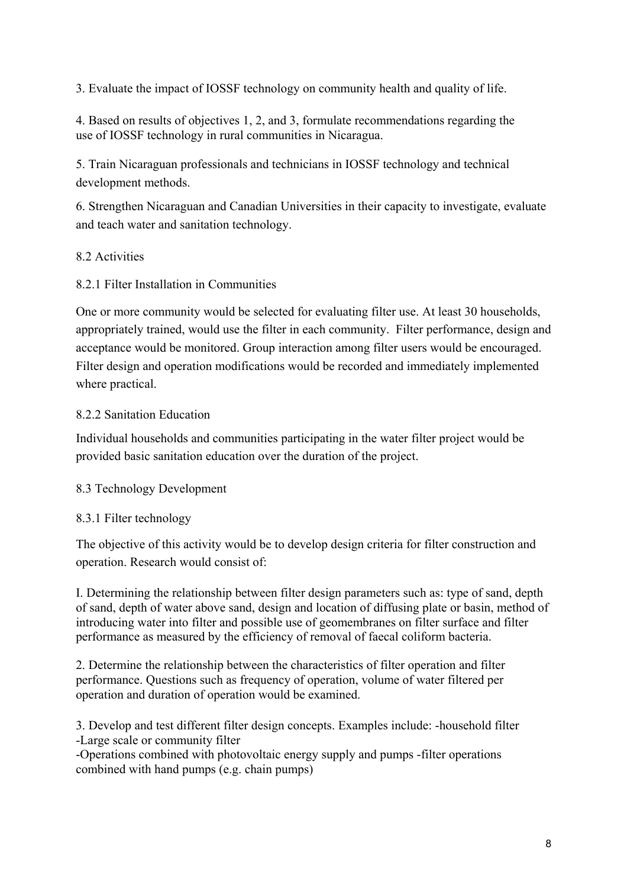3. Evaluate the impact of IOSSF technology on community health and quality of life.

4. Based on results of objectives 1, 2, and 3, formulate recommendations regarding the use of IOSSF technology in rural communities in Nicaragua.

5. Train Nicaraguan professionals and technicians in IOSSF technology and technical development methods.

6. Strengthen Nicaraguan and Canadian Universities in their capacity to investigate, evaluate and teach water and sanitation technology.

## 8.2 Activities

8.2.1 Filter Installation in Communities

One or more community would be selected for evaluating filter use. At least 30 households, appropriately trained, would use the filter in each community. Filter performance, design and acceptance would be monitored. Group interaction among filter users would be encouraged. Filter design and operation modifications would be recorded and immediately implemented where practical.

## 8.2.2 Sanitation Education

Individual households and communities participating in the water filter project would be provided basic sanitation education over the duration of the project.

#### 8.3 Technology Development

#### 8.3.1 Filter technology

The objective of this activity would be to develop design criteria for filter construction and operation. Research would consist of:

I. Determining the relationship between filter design parameters such as: type of sand, depth of sand, depth of water above sand, design and location of diffusing plate or basin, method of introducing water into filter and possible use of geomembranes on filter surface and filter performance as measured by the efficiency of removal of faecal coliform bacteria.

2. Determine the relationship between the characteristics of filter operation and filter performance. Questions such as frequency of operation, volume of water filtered per operation and duration of operation would be examined.

3. Develop and test different filter design concepts. Examples include: -household filter -Large scale or community filter

-Operations combined with photovoltaic energy supply and pumps -filter operations combined with hand pumps (e.g. chain pumps)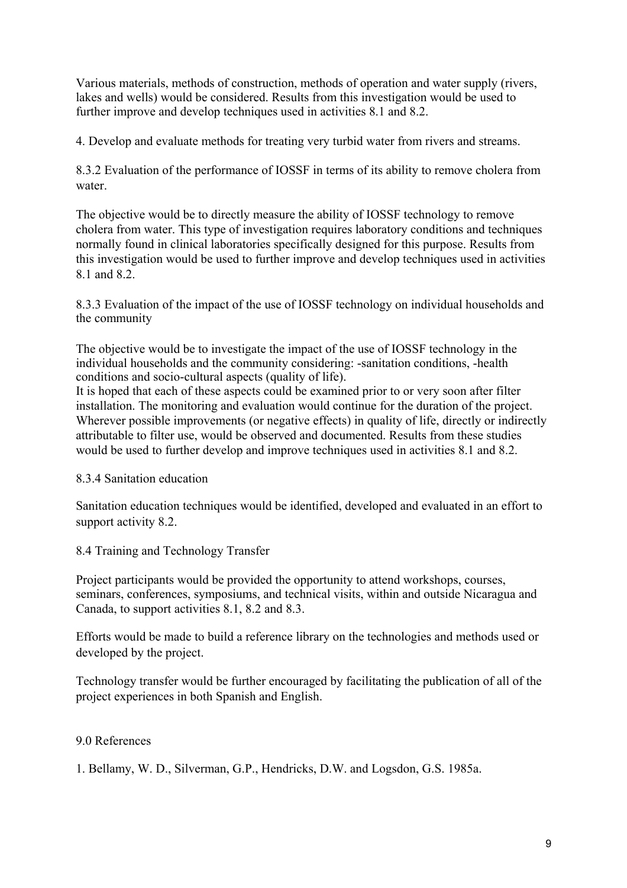Various materials, methods of construction, methods of operation and water supply (rivers, lakes and wells) would be considered. Results from this investigation would be used to further improve and develop techniques used in activities 8.1 and 8.2.

4. Develop and evaluate methods for treating very turbid water from rivers and streams.

8.3.2 Evaluation of the performance of IOSSF in terms of its ability to remove cholera from water.

The objective would be to directly measure the ability of IOSSF technology to remove cholera from water. This type of investigation requires laboratory conditions and techniques normally found in clinical laboratories specifically designed for this purpose. Results from this investigation would be used to further improve and develop techniques used in activities 8.1 and 8.2.

8.3.3 Evaluation of the impact of the use of IOSSF technology on individual households and the community

The objective would be to investigate the impact of the use of IOSSF technology in the individual households and the community considering: -sanitation conditions, -health conditions and socio-cultural aspects (quality of life).

It is hoped that each of these aspects could be examined prior to or very soon after filter installation. The monitoring and evaluation would continue for the duration of the project. Wherever possible improvements (or negative effects) in quality of life, directly or indirectly attributable to filter use, would be observed and documented. Results from these studies would be used to further develop and improve techniques used in activities 8.1 and 8.2.

# 8.3.4 Sanitation education

Sanitation education techniques would be identified, developed and evaluated in an effort to support activity 8.2.

8.4 Training and Technology Transfer

Project participants would be provided the opportunity to attend workshops, courses, seminars, conferences, symposiums, and technical visits, within and outside Nicaragua and Canada, to support activities 8.1, 8.2 and 8.3.

Efforts would be made to build a reference library on the technologies and methods used or developed by the project.

Technology transfer would be further encouraged by facilitating the publication of all of the project experiences in both Spanish and English.

# 9.0 References

1. Bellamy, W. D., Silverman, G.P., Hendricks, D.W. and Logsdon, G.S. 1985a.